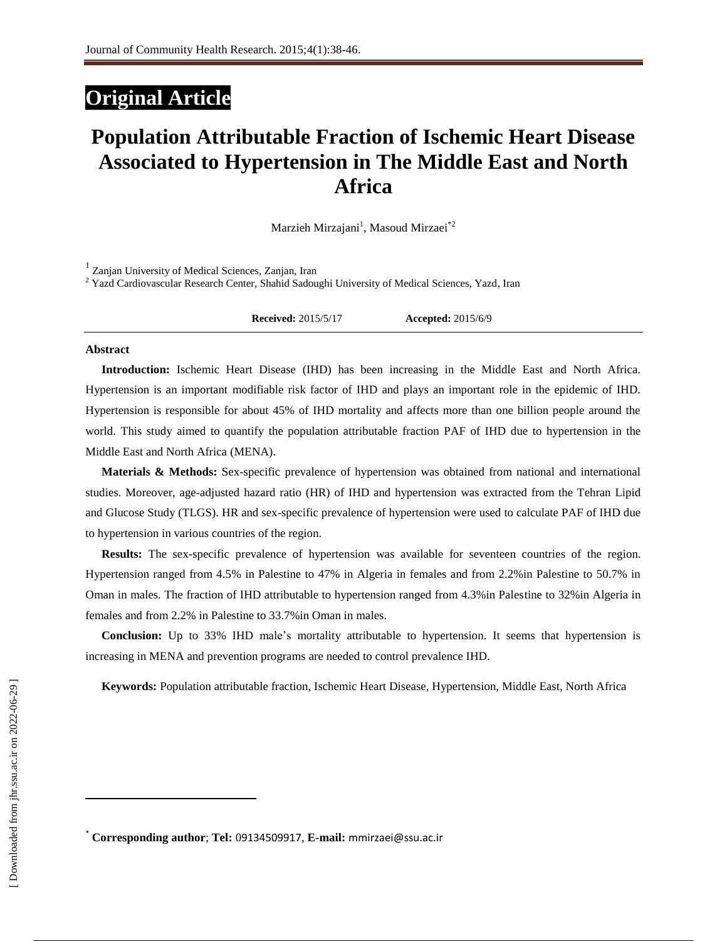# **Original Article**

# **Population Attributable Fraction of Ischemic Heart Disease Associated to Hypertension in The Middle East and North Africa**

Marzieh Mirzajani<sup>1</sup>, Masoud Mirzaei<sup>\*2</sup>

1 Zanjan University of Medical Sciences, Zanjan, Iran <sup>2</sup> Yazd Cardiovascular Research Center, Shahid Sadoughi University of Medical Sciences, Yazd, Iran

**Received:** 2015/5/17 **Accepted:** 2015/6/9

#### **Abstract**

**Introduction:** Ischemic Heart Disease (IHD) has been increasing in the Middle East and North Africa. Hypertension is an important modifiable risk factor of IHD and plays an important role in the epidemic of IHD. Hypertension is responsible for about 45% of IHD mortality and affects more than one billion people around the world. This study aimed to quantify the population attributable fraction PAF of IHD due to hypertension in the Middle East and North Africa (MENA).

**Materials & Methods:** Sex-specific prevalence of hypertension was obtained from national and international studies. Moreover, age-adjusted hazard ratio (HR) of IHD and hypertension was extracted from the Tehran Lipid and Glucose Study (TLGS). HR and sex-specific prevalence of hypertension were used to calculate PAF of IHD due to hypertension in various countries of the region.

**Results:** The sex-specific prevalence of hypertension was available for seventeen countries of the region. Hypertension ranged from 4.5% in Palestine to 47% in Algeria in females and from 2.2%in Palestine to 50.7% in Oman in males. The fraction of IHD attributable to hypertension ranged from 4.3%in Palestine to 32%in Algeria in females and from 2.2% in Palestine to 33.7%in Oman in males.

**Conclusion:** Up to 33% IHD male's mortality attributable to hypertension. It seems that hypertension is increasing in MENA and prevention programs are needed to control prevalence IHD.

**Keywords:** [Population attributable fraction,](http://jhr.ssu.ac.ir/search.php?slc_lang=en&sid=1&key=Population+attributable+fraction) [Ischemic Heart Disease,](http://jhr.ssu.ac.ir/search.php?slc_lang=en&sid=1&key=Ischemic+Heart+Disease) [Hypertension,](http://jhr.ssu.ac.ir/search.php?slc_lang=en&sid=1&key=Hypertension) [Middle East,](http://jhr.ssu.ac.ir/search.php?slc_lang=en&sid=1&key=Middle+East) [North Africa](http://jhr.ssu.ac.ir/search.php?slc_lang=en&sid=1&key=North+Africa)

l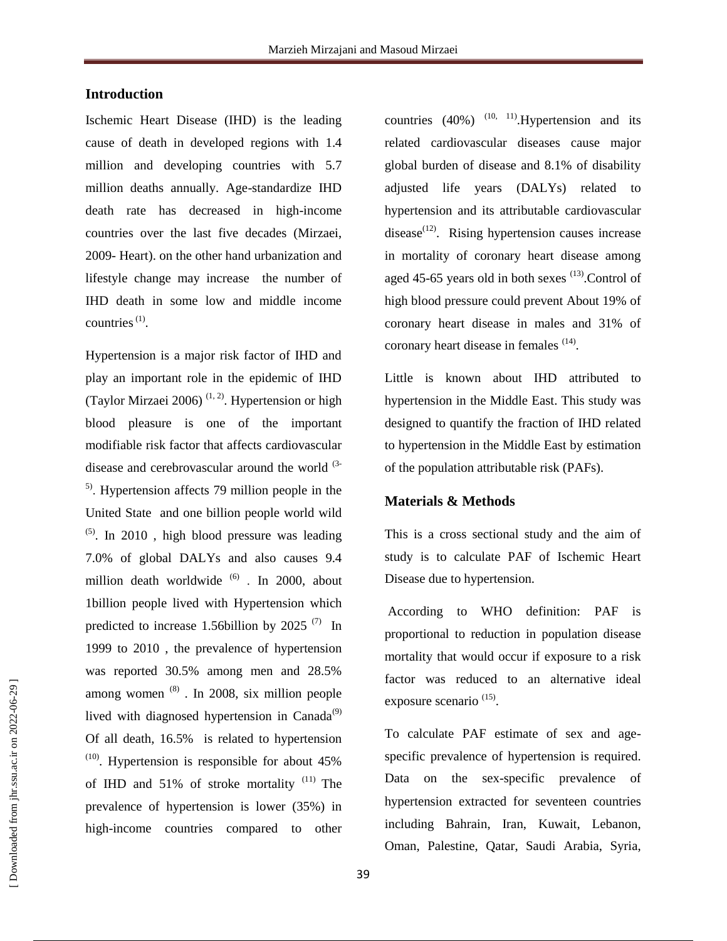### **Introduction**

Ischemic Heart Disease (IHD) is the leading cause of death in developed regions with 1.4 million and developing countries with 5.7 million deaths annually. Age-standardize IHD death rate has decreased in high-income countries over the last five decades (Mirzaei, 2009- Heart). on the other hand urbanization and lifestyle change may increase the number of IHD death in some low and middle income countries  $(1)$ .

Hypertension is a major risk factor of IHD and play an important role in the epidemic of IHD (Taylor Mirzaei 2006)<sup>(1, 2)</sup>. Hypertension or high blood pleasure is one of the important modifiable risk factor that affects cardiovascular disease and cerebrovascular around the world (3- 5) . Hypertension affects 79 million people in the United State and one billion people world wild  $(5)$ . In 2010, high blood pressure was leading 7.0% of global DALYs and also causes 9.4 million death worldwide <sup>(6)</sup> . In 2000, about 1billion people lived with Hypertension which predicted to increase 1.56billion by 2025 $(7)$  In 1999 to 2010 , the prevalence of hypertension was reported 30.5% among men and 28.5% among women  $(8)$ . In 2008, six million people lived with diagnosed hypertension in Canada $^{(9)}$ Of all death, 16.5% is related to hypertension  $(10)$ . Hypertension is responsible for about 45% of IHD and  $51\%$  of stroke mortality  $(11)$  The prevalence of hypertension is lower (35%) in high-income countries compared to other

countries  $(40\%)$ <sup> $(10, 11)$ </sup>. Hypertension and its related cardiovascular diseases cause major global burden of disease and 8.1% of disability adjusted life years (DALYs) related to hypertension and its attributable cardiovascular disease<sup> $(12)$ </sup>. Rising hypertension causes increase in mortality of coronary heart disease among aged 45-65 years old in both sexes  $(13)$ . Control of high blood pressure could prevent About 19% of coronary heart disease in males and 31% of coronary heart disease in females <sup>(14)</sup>.

Little is known about IHD attributed to hypertension in the Middle East. This study was designed to quantify the fraction of IHD related to hypertension in the Middle East by estimation of the population attributable risk (PAFs).

#### **Materials & Methods**

This is a cross sectional study and the aim of study is to calculate PAF of Ischemic Heart Disease due to hypertension.

According to WHO definition: PAF is proportional to reduction in population disease mortality that would occur if exposure to a risk factor was reduced to an alternative ideal exposure scenario<sup>(15)</sup>.

To calculate PAF estimate of sex and agespecific prevalence of hypertension is required. Data on the sex-specific prevalence of hypertension extracted for seventeen countries including Bahrain, Iran, Kuwait, Lebanon, Oman, Palestine, Qatar, Saudi Arabia, Syria,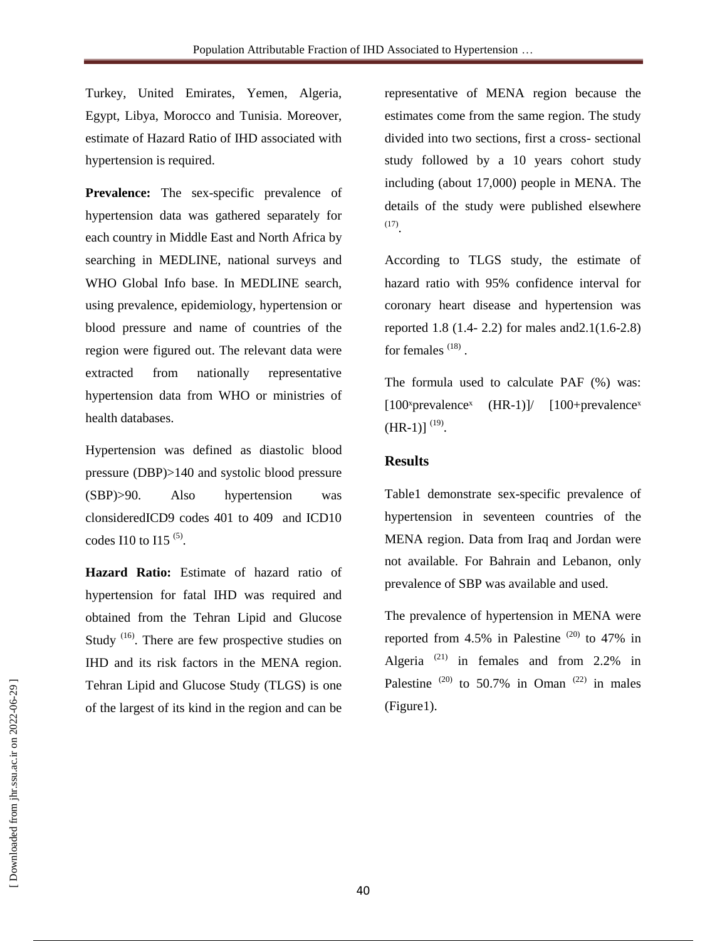Turkey, United Emirates, Yemen, Algeria, Egypt, Libya, Morocco and Tunisia. Moreover, estimate of Hazard Ratio of IHD associated with hypertension is required.

Prevalence: The sex-specific prevalence of hypertension data was gathered separately for each country in Middle East and North Africa by searching in MEDLINE, national surveys and WHO Global Info base. In MEDLINE search, using prevalence, epidemiology, hypertension or blood pressure and name of countries of the region were figured out. The relevant data were extracted from nationally representative hypertension data from WHO or ministries of health databases.

Hypertension was defined as diastolic blood pressure (DBP)>140 and systolic blood pressure (SBP)>90. Also hypertension was clonsideredICD9 codes 401 to 409 and ICD10 codes I10 to I15  $(5)$ .

**Hazard Ratio:** Estimate of hazard ratio of hypertension for fatal IHD was required and obtained from the Tehran Lipid and Glucose Study  $^{(16)}$ . There are few prospective studies on IHD and its risk factors in the MENA region. Tehran Lipid and Glucose Study (TLGS) is one of the largest of its kind in the region and can be

representative of MENA region because the estimates come from the same region. The study divided into two sections, first a cross- sectional study followed by a 10 years cohort study including (about 17,000) people in MENA. The details of the study were published elsewhere (17) .

According to TLGS study, the estimate of hazard ratio with 95% confidence interval for coronary heart disease and hypertension was reported 1.8 (1.4- 2.2) for males and2.1(1.6-2.8) for females<sup>(18)</sup>.

The formula used to calculate PAF (%) was: [100<sup>x</sup>prevalence<sup>x</sup> (HR-1)]/ [100+prevalence<sup>x</sup>  $(HR-1)]^{(19)}$ .

# **Results**

Table1 demonstrate sex-specific prevalence of hypertension in seventeen countries of the MENA region. Data from Iraq and Jordan were not available. For Bahrain and Lebanon, only prevalence of SBP was available and used.

The prevalence of hypertension in MENA were reported from 4.5% in Palestine  $^{(20)}$  to 47% in Algeria<sup>(21)</sup> in females and from 2.2% in Palestine  $(20)$  to 50.7% in Oman  $(22)$  in males (Figure1).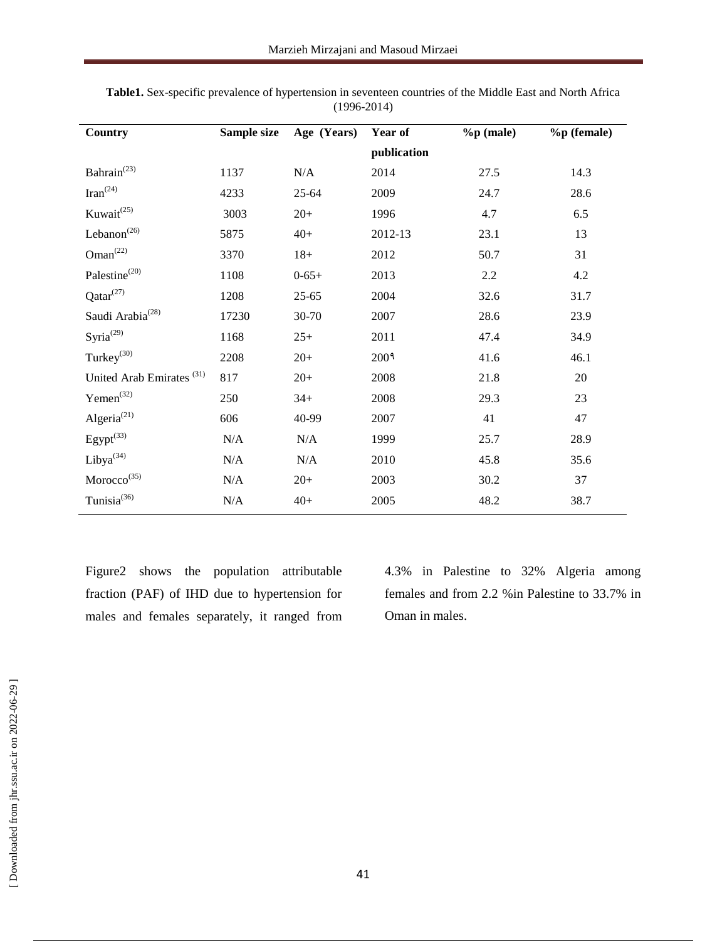| <b>Country</b>                       | Sample size | Age (Years) | Year of          | $%$ p $(male)$ | %p (female) |
|--------------------------------------|-------------|-------------|------------------|----------------|-------------|
|                                      |             |             | publication      |                |             |
| Bahrain <sup>(23)</sup>              | 1137        | $\rm N/A$   | 2014             | 27.5           | 14.3        |
| $\text{Iran}^{(24)}$                 | 4233        | 25-64       | 2009             | 24.7           | 28.6        |
| Kuwait <sup>(25)</sup>               | 3003        | $20+$       | 1996             | 4.7            | 6.5         |
| Lebanon <sup><math>(26)</math></sup> | 5875        | $40+$       | 2012-13          | 23.1           | 13          |
| Oman <sup>(22)</sup>                 | 3370        | $18 +$      | 2012             | 50.7           | 31          |
| Palestine <sup>(20)</sup>            | 1108        | $0 - 65 +$  | 2013             | 2.2            | 4.2         |
| $Qatar^{(27)}$                       | 1208        | $25 - 65$   | 2004             | 32.6           | 31.7        |
| Saudi Arabia <sup>(28)</sup>         | 17230       | 30-70       | 2007             | 28.6           | 23.9        |
| Syria $^{(29)}$                      | 1168        | $25+$       | 2011             | 47.4           | 34.9        |
| Turkey $^{(30)}$                     | 2208        | $20+$       | 200 <sup>9</sup> | 41.6           | 46.1        |
| United Arab Emirates <sup>(31)</sup> | 817         | $20+$       | 2008             | 21.8           | 20          |
| Yemen <sup>(32)</sup>                | 250         | $34+$       | 2008             | 29.3           | 23          |
| Algeria $^{(21)}$                    | 606         | 40-99       | 2007             | 41             | 47          |
| Egypt <sup>(33)</sup>                | N/A         | N/A         | 1999             | 25.7           | 28.9        |
| Liby $a^{(34)}$                      | N/A         | N/A         | 2010             | 45.8           | 35.6        |
| Moreover <sup>(35)</sup>             | N/A         | $20+$       | 2003             | 30.2           | 37          |
| Tunisia <sup>(36)</sup>              | N/A         | $40+$       | 2005             | 48.2           | 38.7        |

| Table1. Sex-specific prevalence of hypertension in seventeen countries of the Middle East and North Africa |
|------------------------------------------------------------------------------------------------------------|
| $(1996 - 2014)$                                                                                            |

Figure2 shows the population attributable fraction (PAF) of IHD due to hypertension for males and females separately, it ranged from 4.3% in Palestine to 32% Algeria among females and from 2.2 %in Palestine to 33.7% in Oman in males.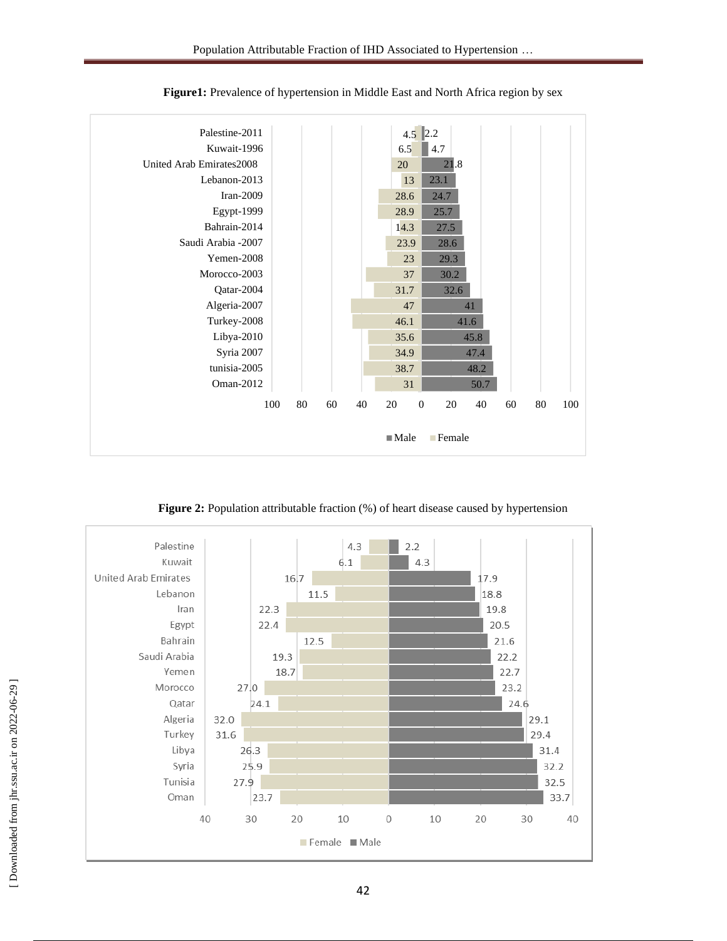

**Figure1:** Prevalence of hypertension in Middle East and North Africa region by sex

**Figure 2:** Population attributable fraction (%) of heart disease caused by hypertension

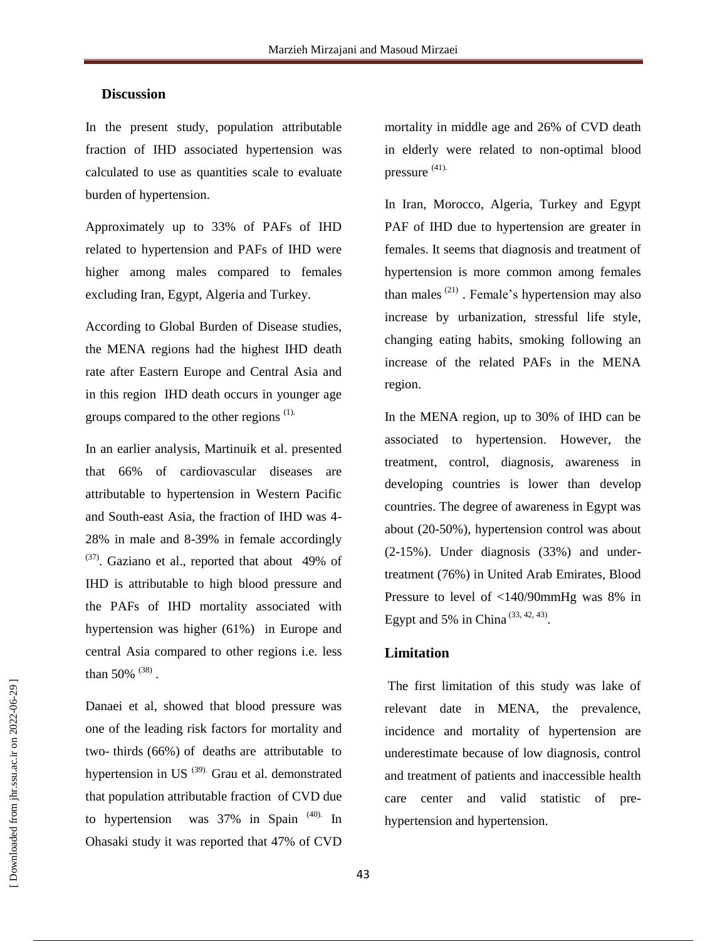### **Discussion**

In the present study, population attributable fraction of IHD associated hypertension was calculated to use as quantities scale to evaluate burden of hypertension.

Approximately up to 33% of PAFs of IHD related to hypertension and PAFs of IHD were higher among males compared to females excluding Iran, Egypt, Algeria and Turkey.

According to Global Burden of Disease studies, the MENA regions had the highest IHD death rate after Eastern Europe and Central Asia and in this region IHD death occurs in younger age groups compared to the other regions <sup>(1).</sup>

In an earlier analysis, Martinuik et al. presented that 66% of cardiovascular diseases are attributable to hypertension in Western Pacific and South-east Asia, the fraction of IHD was 4- 28% in male and 8-39% in female accordingly  $^{(37)}$ . Gaziano et al., reported that about 49% of IHD is attributable to high blood pressure and the PAFs of IHD mortality associated with hypertension was higher (61%) in Europe and central Asia compared to other regions i.e. less than 50%  $(38)$ .

Danaei et al, showed that blood pressure was one of the leading risk factors for mortality and two- thirds (66%) of deaths are attributable to hypertension in US  $^{(39)}$  Grau et al. demonstrated that population attributable fraction of CVD due to hypertension was 37% in Spain<sup>(40).</sup> In Ohasaki study it was reported that 47% of CVD

mortality in middle age and 26% of CVD death in elderly were related to non-optimal blood pressure (41).

In Iran, Morocco, Algeria, Turkey and Egypt PAF of IHD due to hypertension are greater in females. It seems that diagnosis and treatment of hypertension is more common among females than males  $(21)$ . Female's hypertension may also increase by urbanization, stressful life style, changing eating habits, smoking following an increase of the related PAFs in the MENA region.

In the MENA region, up to 30% of IHD can be associated to hypertension. However, the treatment, control, diagnosis, awareness in developing countries is lower than develop countries. The degree of awareness in Egypt was about (20-50%), hypertension control was about (2-15%). Under diagnosis (33%) and undertreatment (76%) in United Arab Emirates, Blood Pressure to level of <140/90mmHg was 8% in Egypt and 5% in China<sup>(33, 42, 43)</sup>.

#### **Limitation**

The first limitation of this study was lake of relevant date in MENA, the prevalence, incidence and mortality of hypertension are underestimate because of low diagnosis, control and treatment of patients and inaccessible health care center and valid statistic of prehypertension and hypertension.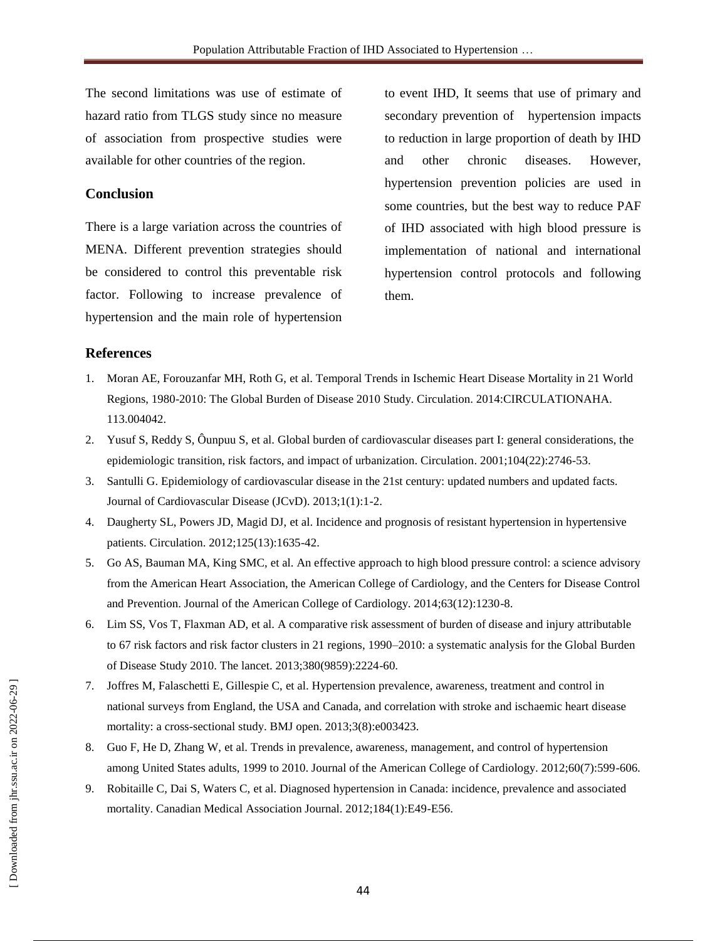The second limitations was use of estimate of hazard ratio from TLGS study since no measure of association from prospective studies were available for other countries of the region.

## **Conclusion**

There is a large variation across the countries of MENA. Different prevention strategies should be considered to control this preventable risk factor. Following to increase prevalence of hypertension and the main role of hypertension

to event IHD, It seems that use of primary and secondary prevention of hypertension impacts to reduction in large proportion of death by IHD and other chronic diseases. However, hypertension prevention policies are used in some countries, but the best way to reduce PAF of IHD associated with high blood pressure is implementation of national and international hypertension control protocols and following them.

# **References**

- 1. Moran AE, Forouzanfar MH, Roth G, et al. Temporal Trends in Ischemic Heart Disease Mortality in 21 World Regions, 1980-2010: The Global Burden of Disease 2010 Study. Circulation. 2014:CIRCULATIONAHA. 113.004042.
- 2. Yusuf S, Reddy S, Ôunpuu S, et al. Global burden of cardiovascular diseases part I: general considerations, the epidemiologic transition, risk factors, and impact of urbanization. Circulation. 2001;104(22):2746-53.
- 3. Santulli G. Epidemiology of cardiovascular disease in the 21st century: updated numbers and updated facts. Journal of Cardiovascular Disease (JCvD). 2013;1(1):1-2.
- 4. Daugherty SL, Powers JD, Magid DJ, et al. Incidence and prognosis of resistant hypertension in hypertensive patients. Circulation. 2012;125(13):1635-42.
- 5. Go AS, Bauman MA, King SMC, et al. An effective approach to high blood pressure control: a science advisory from the American Heart Association, the American College of Cardiology, and the Centers for Disease Control and Prevention. Journal of the American College of Cardiology. 2014;63(12):1230-8.
- 6. Lim SS, Vos T, Flaxman AD, et al. A comparative risk assessment of burden of disease and injury attributable to 67 risk factors and risk factor clusters in 21 regions, 1990–2010: a systematic analysis for the Global Burden of Disease Study 2010. The lancet. 2013;380(9859):2224-60.
- 7. Joffres M, Falaschetti E, Gillespie C, et al. Hypertension prevalence, awareness, treatment and control in national surveys from England, the USA and Canada, and correlation with stroke and ischaemic heart disease mortality: a cross-sectional study. BMJ open. 2013;3(8):e003423.
- 8. Guo F, He D, Zhang W, et al. Trends in prevalence, awareness, management, and control of hypertension among United States adults, 1999 to 2010. Journal of the American College of Cardiology. 2012;60(7):599-606.
- 9. Robitaille C, Dai S, Waters C, et al. Diagnosed hypertension in Canada: incidence, prevalence and associated mortality. Canadian Medical Association Journal. 2012;184(1):E49-E56.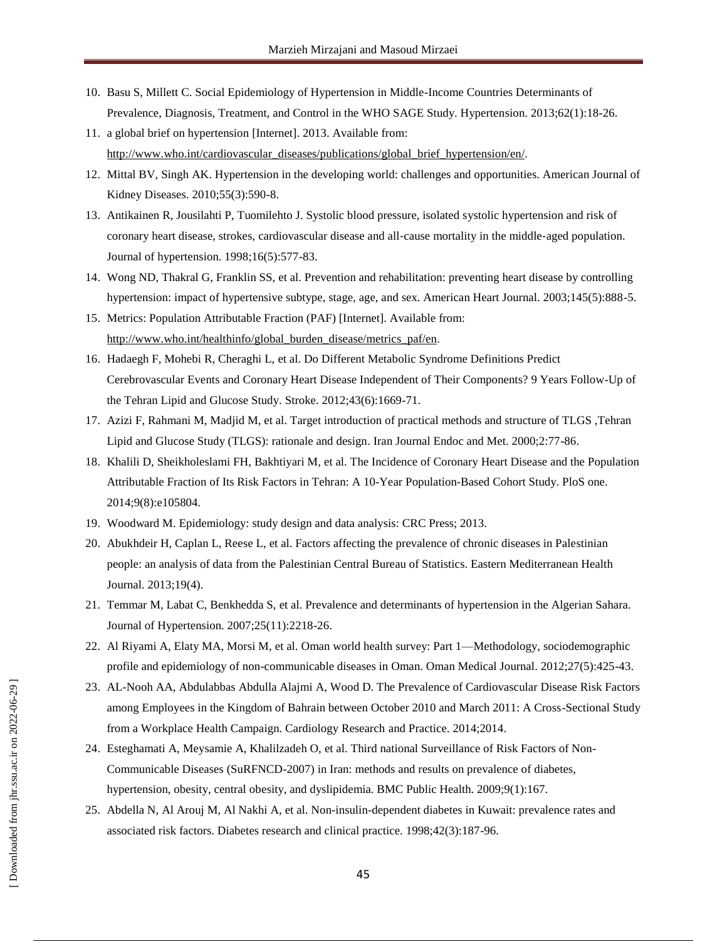- 10. Basu S, Millett C. Social Epidemiology of Hypertension in Middle-Income Countries Determinants of Prevalence, Diagnosis, Treatment, and Control in the WHO SAGE Study. Hypertension. 2013;62(1):18-26.
- 11. a global brief on hypertension [Internet]. 2013. Available from: [http://www.who.int/cardiovascular\\_diseases/publications/global\\_brief\\_hypertension/en/.](http://www.who.int/cardiovascular_diseases/publications/global_brief_hypertension/en/)
- 12. Mittal BV, Singh AK. Hypertension in the developing world: challenges and opportunities. American Journal of Kidney Diseases. 2010;55(3):590-8.
- 13. Antikainen R, Jousilahti P, Tuomilehto J. Systolic blood pressure, isolated systolic hypertension and risk of coronary heart disease, strokes, cardiovascular disease and all-cause mortality in the middle-aged population. Journal of hypertension. 1998;16(5):577-83.
- 14. Wong ND, Thakral G, Franklin SS, et al. Prevention and rehabilitation: preventing heart disease by controlling hypertension: impact of hypertensive subtype, stage, age, and sex. American Heart Journal. 2003;145(5):888-5.
- 15. Metrics: Population Attributable Fraction (PAF) [Internet]. Available from: [http://www.who.int/healthinfo/global\\_burden\\_disease/metrics\\_paf/en.](http://www.who.int/healthinfo/global_burden_disease/metrics_paf/en)
- 16. Hadaegh F, Mohebi R, Cheraghi L, et al. Do Different Metabolic Syndrome Definitions Predict Cerebrovascular Events and Coronary Heart Disease Independent of Their Components? 9 Years Follow-Up of the Tehran Lipid and Glucose Study. Stroke. 2012;43(6):1669-71.
- 17. Azizi F, Rahmani M, Madjid M, et al. Target introduction of practical methods and structure of TLGS ,Tehran Lipid and Glucose Study (TLGS): rationale and design. Iran Journal Endoc and Met. 2000;2:77-86.
- 18. Khalili D, Sheikholeslami FH, Bakhtiyari M, et al. The Incidence of Coronary Heart Disease and the Population Attributable Fraction of Its Risk Factors in Tehran: A 10-Year Population-Based Cohort Study. PloS one. 2014;9(8):e105804.
- 19. Woodward M. Epidemiology: study design and data analysis: CRC Press; 2013.
- 20. Abukhdeir H, Caplan L, Reese L, et al. Factors affecting the prevalence of chronic diseases in Palestinian people: an analysis of data from the Palestinian Central Bureau of Statistics. Eastern Mediterranean Health Journal. 2013;19(4).
- 21. Temmar M, Labat C, Benkhedda S, et al. Prevalence and determinants of hypertension in the Algerian Sahara. Journal of Hypertension. 2007;25(11):2218-26.
- 22. Al Riyami A, Elaty MA, Morsi M, et al. Oman world health survey: Part 1—Methodology, sociodemographic profile and epidemiology of non-communicable diseases in Oman. Oman Medical Journal. 2012;27(5):425-43.
- 23. AL-Nooh AA, Abdulabbas Abdulla Alajmi A, Wood D. The Prevalence of Cardiovascular Disease Risk Factors among Employees in the Kingdom of Bahrain between October 2010 and March 2011: A Cross-Sectional Study from a Workplace Health Campaign. Cardiology Research and Practice. 2014;2014.
- 24. Esteghamati A, Meysamie A, Khalilzadeh O, et al. Third national Surveillance of Risk Factors of Non-Communicable Diseases (SuRFNCD-2007) in Iran: methods and results on prevalence of diabetes, hypertension, obesity, central obesity, and dyslipidemia. BMC Public Health. 2009;9(1):167.
- 25. Abdella N, Al Arouj M, Al Nakhi A, et al. Non-insulin-dependent diabetes in Kuwait: prevalence rates and associated risk factors. Diabetes research and clinical practice. 1998;42(3):187-96.